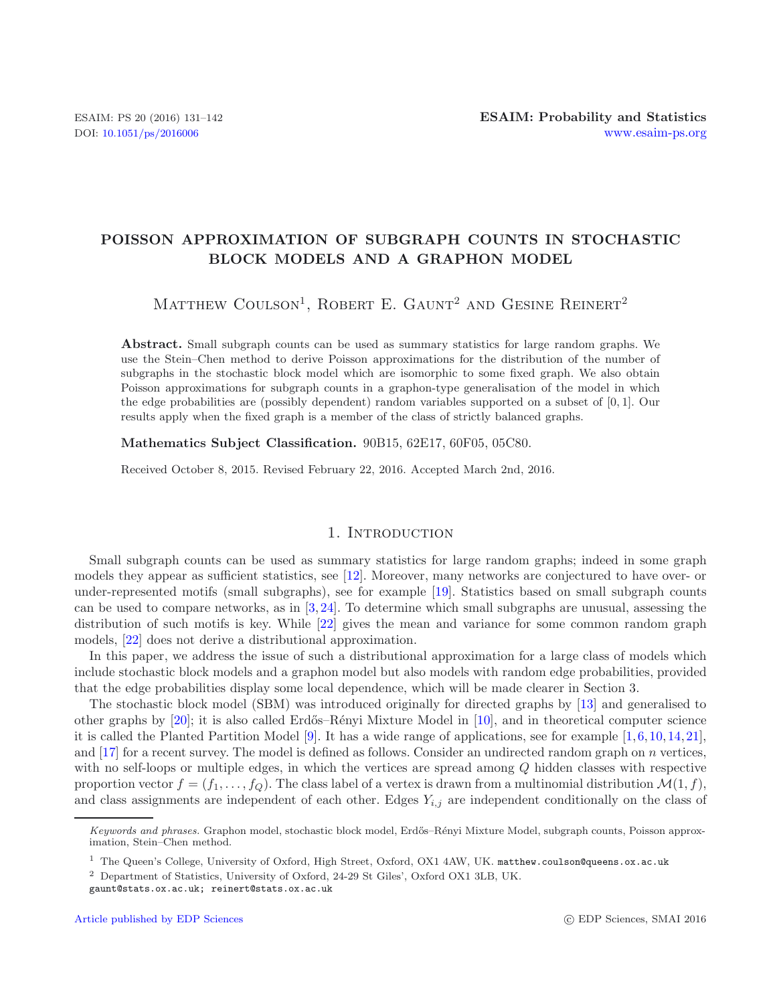# **POISSON APPROXIMATION OF SUBGRAPH COUNTS IN STOCHASTIC BLOCK MODELS AND A GRAPHON MODEL**

MATTHEW COULSON<sup>1</sup>, ROBERT E. GAUNT<sup>2</sup> AND GESINE REINERT<sup>2</sup>

Abstract. Small subgraph counts can be used as summary statistics for large random graphs. We use the Stein–Chen method to derive Poisson approximations for the distribution of the number of subgraphs in the stochastic block model which are isomorphic to some fixed graph. We also obtain Poisson approximations for subgraph counts in a graphon-type generalisation of the model in which the edge probabilities are (possibly dependent) random variables supported on a subset of [0, 1]. Our results apply when the fixed graph is a member of the class of strictly balanced graphs.

**Mathematics Subject Classification.** 90B15, 62E17, 60F05, 05C80.

Received October 8, 2015. Revised February 22, 2016. Accepted March 2nd, 2016.

### 1. INTRODUCTION

Small subgraph counts can be used as summary statistics for large random graphs; indeed in some graph models they appear as sufficient statistics, see [\[12](#page-11-0)]. Moreover, many networks are conjectured to have over- or under-represented motifs (small subgraphs), see for example [\[19\]](#page-11-1). Statistics based on small subgraph counts can be used to compare networks, as in [\[3](#page-11-2), [24](#page-11-3)]. To determine which small subgraphs are unusual, assessing the distribution of such motifs is key. While [\[22](#page-11-4)] gives the mean and variance for some common random graph models, [\[22\]](#page-11-4) does not derive a distributional approximation.

In this paper, we address the issue of such a distributional approximation for a large class of models which include stochastic block models and a graphon model but also models with random edge probabilities, provided that the edge probabilities display some local dependence, which will be made clearer in Section 3.

The stochastic block model (SBM) was introduced originally for directed graphs by [\[13](#page-11-5)] and generalised to other graphs by  $[20]$ ; it is also called Erdős–Rényi Mixture Model in  $[10]$ , and in theoretical computer science it is called the Planted Partition Model  $[9]$  $[9]$ . It has a wide range of applications, see for example  $[1,6,10,14,21]$  $[1,6,10,14,21]$  $[1,6,10,14,21]$  $[1,6,10,14,21]$  $[1,6,10,14,21]$  $[1,6,10,14,21]$  $[1,6,10,14,21]$  $[1,6,10,14,21]$  $[1,6,10,14,21]$  $[1,6,10,14,21]$ , and [\[17](#page-11-13)] for a recent survey. The model is defined as follows. Consider an undirected random graph on n vertices, with no self-loops or multiple edges, in which the vertices are spread among Q hidden classes with respective proportion vector  $f = (f_1, \ldots, f_Q)$ . The class label of a vertex is drawn from a multinomial distribution  $\mathcal{M}(1, f)$ , and class assignments are independent of each other. Edges  $Y_{i,j}$  are independent conditionally on the class of

*Keywords and phrases.* Graphon model, stochastic block model, Erdős–Rényi Mixture Model, subgraph counts, Poisson approximation, Stein–Chen method.

<sup>1</sup> The Queen's College, University of Oxford, High Street, Oxford, OX1 4AW, UK. matthew.coulson@queens.ox.ac.uk

<sup>2</sup> Department of Statistics, University of Oxford, 24-29 St Giles', Oxford OX1 3LB, UK. gaunt@stats.ox.ac.uk; reinert@stats.ox.ac.uk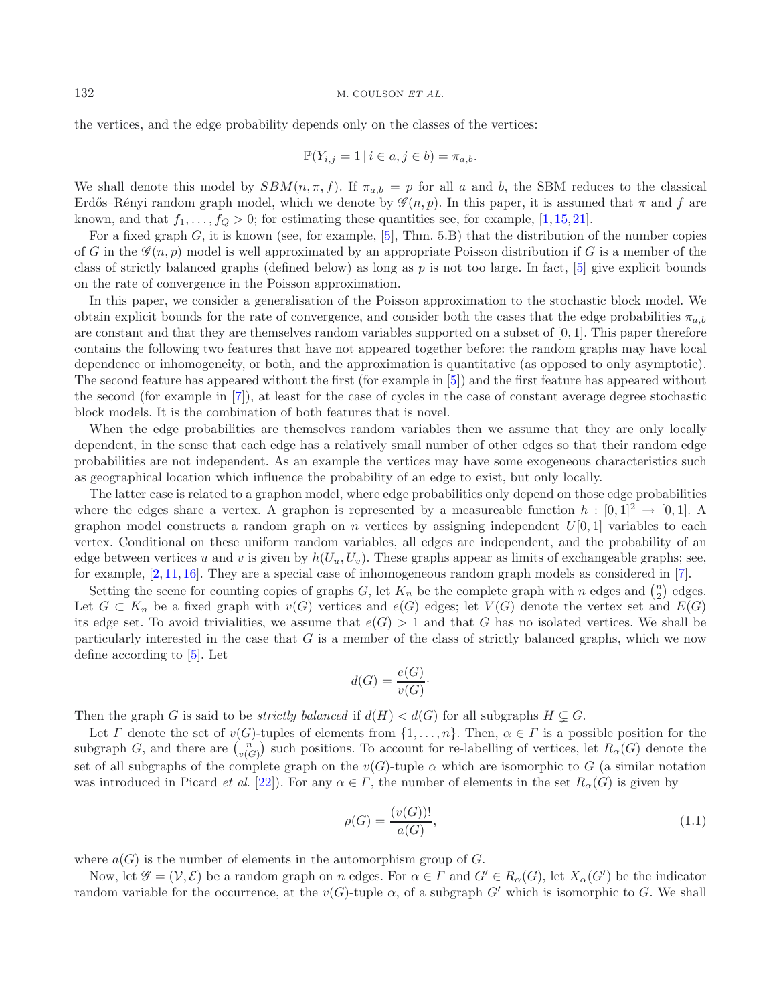the vertices, and the edge probability depends only on the classes of the vertices:

$$
\mathbb{P}(Y_{i,j} = 1 \mid i \in a, j \in b) = \pi_{a,b}.
$$

We shall denote this model by  $SBM(n, \pi, f)$ . If  $\pi_{a,b} = p$  for all a and b, the SBM reduces to the classical Erdős–Rényi random graph model, which we denote by  $\mathscr{G}(n, p)$ . In this paper, it is assumed that  $\pi$  and f are known, and that  $f_1, \ldots, f_Q > 0$ ; for estimating these quantities see, for example, [\[1,](#page-11-9) [15,](#page-11-14) [21\]](#page-11-12).

For a fixed graph  $G$ , it is known (see, for example, [\[5](#page-11-15)], Thm. 5.B) that the distribution of the number copies of G in the  $\mathscr{G}(n, p)$  model is well approximated by an appropriate Poisson distribution if G is a member of the class of strictly balanced graphs (defined below) as long as p is not too large. In fact, [\[5\]](#page-11-15) give explicit bounds on the rate of convergence in the Poisson approximation.

In this paper, we consider a generalisation of the Poisson approximation to the stochastic block model. We obtain explicit bounds for the rate of convergence, and consider both the cases that the edge probabilities  $\pi_{a,b}$ are constant and that they are themselves random variables supported on a subset of  $[0, 1]$ . This paper therefore contains the following two features that have not appeared together before: the random graphs may have local dependence or inhomogeneity, or both, and the approximation is quantitative (as opposed to only asymptotic). The second feature has appeared without the first (for example in [\[5](#page-11-15)]) and the first feature has appeared without the second (for example in [\[7](#page-11-16)]), at least for the case of cycles in the case of constant average degree stochastic block models. It is the combination of both features that is novel.

When the edge probabilities are themselves random variables then we assume that they are only locally dependent, in the sense that each edge has a relatively small number of other edges so that their random edge probabilities are not independent. As an example the vertices may have some exogeneous characteristics such as geographical location which influence the probability of an edge to exist, but only locally.

The latter case is related to a graphon model, where edge probabilities only depend on those edge probabilities where the edges share a vertex. A graphon is represented by a measureable function  $h : [0,1]^2 \rightarrow [0,1]$ . A graphon model constructs a random graph on n vertices by assigning independent  $U[0, 1]$  variables to each vertex. Conditional on these uniform random variables, all edges are independent, and the probability of an edge between vertices u and v is given by  $h(U_u, U_v)$ . These graphs appear as limits of exchangeable graphs; see, for example,  $[2, 11, 16]$  $[2, 11, 16]$  $[2, 11, 16]$  $[2, 11, 16]$  $[2, 11, 16]$ . They are a special case of inhomogeneous random graph models as considered in [\[7\]](#page-11-16).

Setting the scene for counting copies of graphs G, let  $K_n$  be the complete graph with n edges and  $\binom{n}{2}$  $n \choose 2$  edges. Let  $G \subset K_n$  be a fixed graph with  $v(G)$  vertices and  $e(G)$  edges; let  $V(G)$  denote the vertex set and  $E(G)$ its edge set. To avoid trivialities, we assume that  $e(G) > 1$  and that G has no isolated vertices. We shall be particularly interested in the case that  $G$  is a member of the class of strictly balanced graphs, which we now define according to [\[5](#page-11-15)]. Let

<span id="page-1-0"></span>
$$
d(G) = \frac{e(G)}{v(G)}.
$$

Then the graph G is said to be *strictly balanced* if  $d(H) < d(G)$  for all subgraphs  $H \subsetneq G$ .

Let T denote the set of  $v(G)$ -tuples of elements from  $\{1,\ldots,n\}$ . Then,  $\alpha \in \Gamma$  is a possible position for the subgraph G, and there are  $\binom{n'}{v(G)}$  such positions. To account for re-labelling of vertices, let  $R_{\alpha}(G)$  denote the set of all subgraphs of the complete graph on the  $v(G)$ -tuple  $\alpha$  which are isomorphic to G (a similar notation was introduced in Picard *et al.* [\[22\]](#page-11-4)). For any  $\alpha \in \Gamma$ , the number of elements in the set  $R_{\alpha}(G)$  is given by

$$
\rho(G) = \frac{(v(G))!}{a(G)},
$$
\n(1.1)

where  $a(G)$  is the number of elements in the automorphism group of G.

Now, let  $\mathscr{G} = (\mathcal{V}, \mathcal{E})$  be a random graph on n edges. For  $\alpha \in \Gamma$  and  $G' \in R_{\alpha}(G)$ , let  $X_{\alpha}(G')$  be the indicator random variable for the occurrence, at the  $v(G)$ -tuple  $\alpha$ , of a subgraph G' which is isomorphic to G. We shall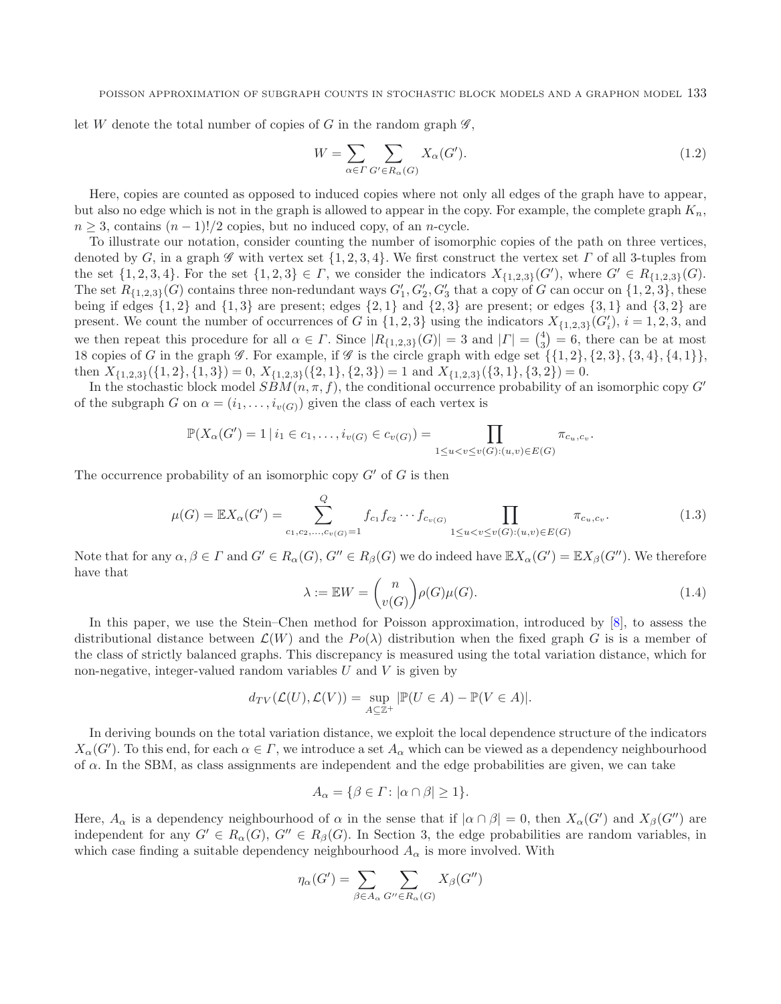#### POISSON APPROXIMATION OF SUBGRAPH COUNTS IN STOCHASTIC BLOCK MODELS AND A GRAPHON MODEL 133

let W denote the total number of copies of G in the random graph  $\mathscr{G}$ ,

<span id="page-2-0"></span>
$$
W = \sum_{\alpha \in \Gamma} \sum_{G' \in R_{\alpha}(G)} X_{\alpha}(G'). \tag{1.2}
$$

Here, copies are counted as opposed to induced copies where not only all edges of the graph have to appear, but also no edge which is not in the graph is allowed to appear in the copy. For example, the complete graph  $K_n$ ,  $n \geq 3$ , contains  $(n-1)!/2$  copies, but no induced copy, of an *n*-cycle.

To illustrate our notation, consider counting the number of isomorphic copies of the path on three vertices, denoted by G, in a graph  $\mathscr G$  with vertex set  $\{1, 2, 3, 4\}$ . We first construct the vertex set  $\Gamma$  of all 3-tuples from the set  $\{1, 2, 3, 4\}$ . For the set  $\{1, 2, 3\} \in \Gamma$ , we consider the indicators  $X_{\{1,2,3\}}(G')$ , where  $G' \in R_{\{1,2,3\}}(G)$ . The set  $R_{\{1,2,3\}}(G)$  contains three non-redundant ways  $G'_1, G'_2, G'_3$  that a copy of G can occur on  $\{1,2,3\}$ , these being if edges  $\{1, 2\}$  and  $\{1, 3\}$  are present; edges  $\{2, 1\}$  and  $\{2, 3\}$  are present; or edges  $\{3, 1\}$  and  $\{3, 2\}$  are present. We count the number of occurrences of G in  $\{1, 2, 3\}$  using the indicators  $X_{\{1,2,3\}}(G_i')$ ,  $i = 1, 2, 3$ , and we then repeat this procedure for all  $\alpha \in \Gamma$ . Since  $|R_{\{1,2,3\}}(G)| = 3$  and  $|\Gamma| = \binom{4}{3} = 6$ , there can be at most 18 copies of G in the graph  $\mathscr G$ . For example, if  $\mathscr G$  is the circle graph with edge set  $\{\{1,2\}, \{2,3\}, \{3,4\}, \{4,1\}\},\$ then  $X_{\{1,2,3\}}(\{1,2\},\{1,3\})=0$ ,  $X_{\{1,2,3\}}(\{2,1\},\{2,3\})=1$  and  $X_{\{1,2,3\}}(\{3,1\},\{3,2\})=0$ .

<span id="page-2-1"></span>In the stochastic block model  $SBM(n, \pi, f)$ , the conditional occurrence probability of an isomorphic copy  $G'$ of the subgraph G on  $\alpha = (i_1, \ldots, i_{\nu(G)})$  given the class of each vertex is

$$
\mathbb{P}(X_{\alpha}(G') = 1 | i_1 \in c_1, \ldots, i_{v(G)} \in c_{v(G)}) = \prod_{1 \le u < v \le v(G): (u, v) \in E(G)} \pi_{c_u, c_v}.
$$

The occurrence probability of an isomorphic copy  $G'$  of  $G$  is then

$$
\mu(G) = \mathbb{E}X_{\alpha}(G') = \sum_{c_1, c_2, ..., c_v(G)=1}^{Q} f_{c_1} f_{c_2} \cdots f_{c_v(G)} \prod_{1 \le u < v \le v(G): (u, v) \in E(G)} \pi_{c_u, c_v}.
$$
\n(1.3)

Note that for any  $\alpha, \beta \in \Gamma$  and  $G' \in R_{\alpha}(G), G'' \in R_{\beta}(G)$  we do indeed have  $\mathbb{E}X_{\alpha}(G') = \mathbb{E}X_{\beta}(G'')$ . We therefore have that

$$
\lambda := \mathbb{E}W = \binom{n}{v(G)} \rho(G)\mu(G). \tag{1.4}
$$

In this paper, we use the Stein–Chen method for Poisson approximation, introduced by [\[8\]](#page-11-20), to assess the distributional distance between  $\mathcal{L}(W)$  and the  $Po(\lambda)$  distribution when the fixed graph G is is a member of the class of strictly balanced graphs. This discrepancy is measured using the total variation distance, which for non-negative, integer-valued random variables  $U$  and  $V$  is given by

$$
d_{TV}(\mathcal{L}(U), \mathcal{L}(V)) = \sup_{A \subseteq \mathbb{Z}^+} |\mathbb{P}(U \in A) - \mathbb{P}(V \in A)|.
$$

In deriving bounds on the total variation distance, we exploit the local dependence structure of the indicators  $X_\alpha(G')$ . To this end, for each  $\alpha \in \Gamma$ , we introduce a set  $A_\alpha$  which can be viewed as a dependency neighbourhood of  $\alpha$ . In the SBM, as class assignments are independent and the edge probabilities are given, we can take

$$
A_{\alpha} = \{ \beta \in \Gamma \colon |\alpha \cap \beta| \ge 1 \}.
$$

Here,  $A_\alpha$  is a dependency neighbourhood of  $\alpha$  in the sense that if  $|\alpha \cap \beta| = 0$ , then  $X_\alpha(G')$  and  $X_\beta(G'')$  are independent for any  $G' \in R_{\alpha}(G)$ ,  $G'' \in R_{\beta}(G)$ . In Section 3, the edge probabilities are random variables, in which case finding a suitable dependency neighbourhood  $A_{\alpha}$  is more involved. With

$$
\eta_{\alpha}(G') = \sum_{\beta \in A_{\alpha}} \sum_{G'' \in R_{\alpha}(G)} X_{\beta}(G'')
$$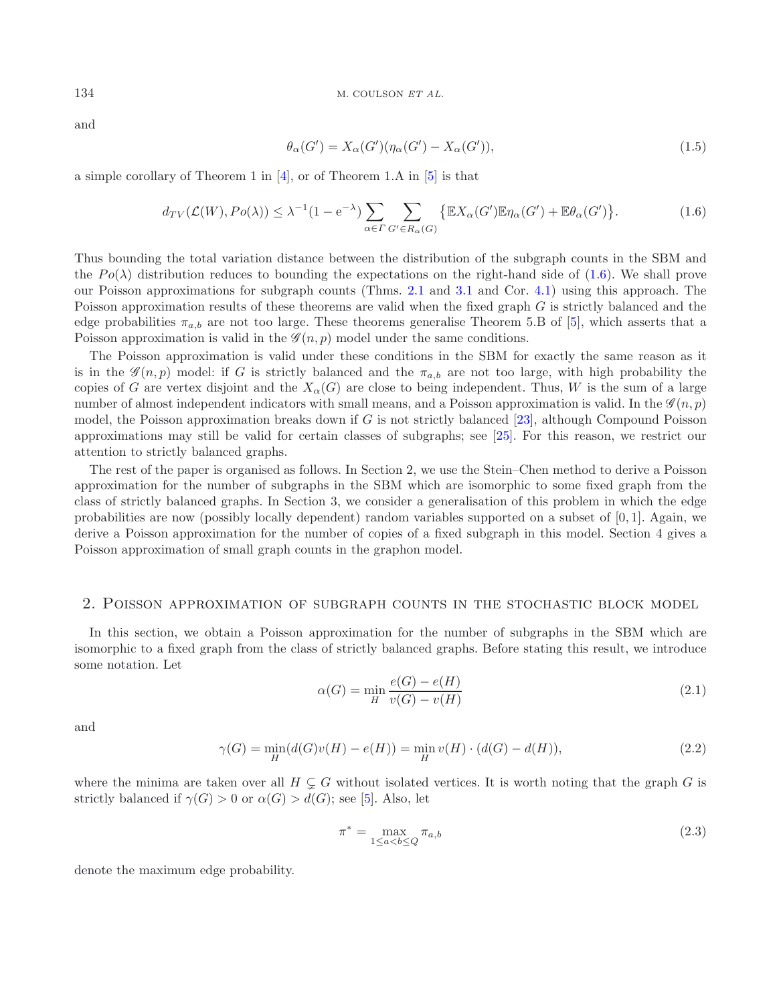and

<span id="page-3-0"></span>
$$
\theta_{\alpha}(G') = X_{\alpha}(G')(\eta_{\alpha}(G') - X_{\alpha}(G')), \qquad (1.5)
$$

a simple corollary of Theorem 1 in [\[4\]](#page-11-21), or of Theorem 1.A in [\[5\]](#page-11-15) is that

$$
d_{TV}(\mathcal{L}(W), Po(\lambda)) \leq \lambda^{-1} (1 - e^{-\lambda}) \sum_{\alpha \in \Gamma} \sum_{G' \in R_{\alpha}(G)} \{ \mathbb{E} X_{\alpha}(G') \mathbb{E} \eta_{\alpha}(G') + \mathbb{E} \theta_{\alpha}(G') \}.
$$
 (1.6)

Thus bounding the total variation distance between the distribution of the subgraph counts in the SBM and the  $Po(\lambda)$  distribution reduces to bounding the expectations on the right-hand side of [\(1.6\)](#page-3-0). We shall prove our Poisson approximations for subgraph counts (Thms. [2.1](#page-3-1) and [3.1](#page-8-0) and Cor. [4.1\)](#page-9-0) using this approach. The Poisson approximation results of these theorems are valid when the fixed graph G is strictly balanced and the edge probabilities  $\pi_{a,b}$  are not too large. These theorems generalise Theorem 5.B of [\[5\]](#page-11-15), which asserts that a Poisson approximation is valid in the  $\mathscr{G}(n, p)$  model under the same conditions.

The Poisson approximation is valid under these conditions in the SBM for exactly the same reason as it is in the  $\mathscr{G}(n, p)$  model: if G is strictly balanced and the  $\pi_{a,b}$  are not too large, with high probability the copies of G are vertex disjoint and the  $X_\alpha(G)$  are close to being independent. Thus, W is the sum of a large number of almost independent indicators with small means, and a Poisson approximation is valid. In the  $\mathscr{G}(n, p)$ model, the Poisson approximation breaks down if G is not strictly balanced [\[23](#page-11-22)], although Compound Poisson approximations may still be valid for certain classes of subgraphs; see [\[25](#page-11-23)]. For this reason, we restrict our attention to strictly balanced graphs.

<span id="page-3-3"></span><span id="page-3-2"></span>The rest of the paper is organised as follows. In Section 2, we use the Stein–Chen method to derive a Poisson approximation for the number of subgraphs in the SBM which are isomorphic to some fixed graph from the class of strictly balanced graphs. In Section 3, we consider a generalisation of this problem in which the edge probabilities are now (possibly locally dependent) random variables supported on a subset of [0, 1]. Again, we derive a Poisson approximation for the number of copies of a fixed subgraph in this model. Section 4 gives a Poisson approximation of small graph counts in the graphon model.

### 2. Poisson approximation of subgraph counts in the stochastic block model

In this section, we obtain a Poisson approximation for the number of subgraphs in the SBM which are isomorphic to a fixed graph from the class of strictly balanced graphs. Before stating this result, we introduce some notation. Let

<span id="page-3-4"></span>
$$
\alpha(G) = \min_{H} \frac{e(G) - e(H)}{v(G) - v(H)}\tag{2.1}
$$

and

$$
\gamma(G) = \min_{H} (d(G)v(H) - e(H)) = \min_{H} v(H) \cdot (d(G) - d(H)),
$$
\n(2.2)

where the minima are taken over all  $H \subsetneq G$  without isolated vertices. It is worth noting that the graph G is strictly balanced if  $\gamma(G) > 0$  or  $\alpha(G) > d(G)$ ; see [\[5\]](#page-11-15). Also, let

$$
\pi^* = \max_{1 \le a < b \le Q} \pi_{a,b} \tag{2.3}
$$

<span id="page-3-1"></span>denote the maximum edge probability.

<span id="page-3-5"></span>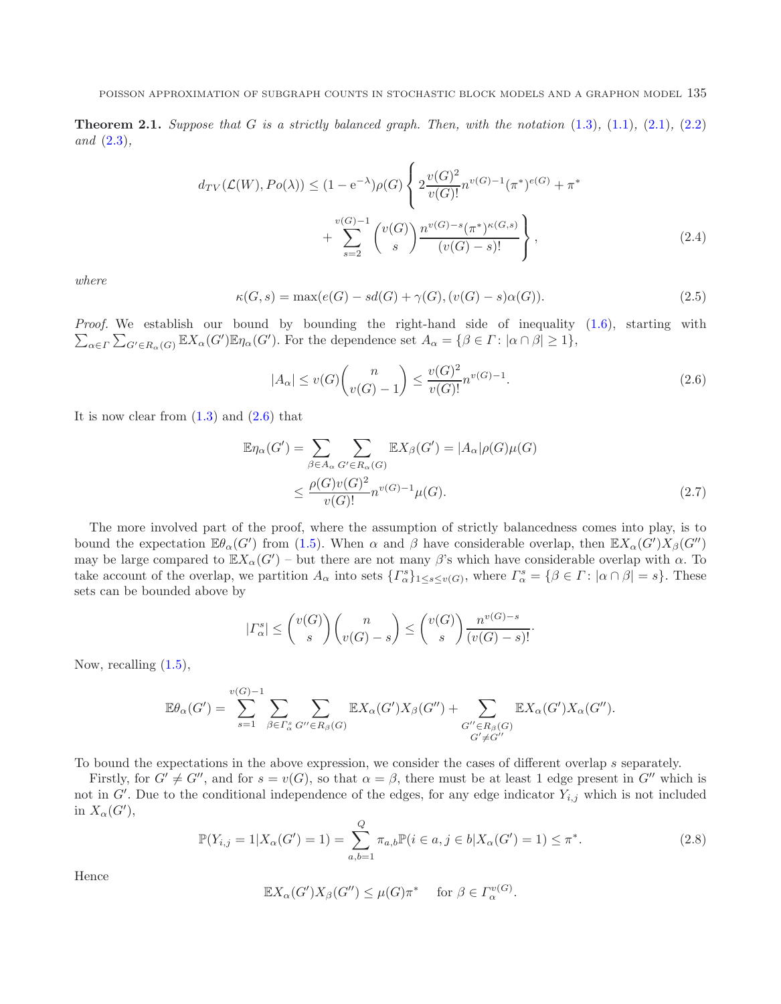<span id="page-4-4"></span>**Theorem 2.1.** Suppose that G is a strictly balanced graph. Then, with the notation  $(1.3)$ ,  $(1.1)$ ,  $(2.1)$ ,  $(2.2)$ *and* [\(2.3\)](#page-3-4)*,*

<span id="page-4-3"></span><span id="page-4-0"></span>
$$
d_{TV}(\mathcal{L}(W), Po(\lambda)) \le (1 - e^{-\lambda})\rho(G) \left\{ 2\frac{v(G)^2}{v(G)!} n^{v(G)-1} (\pi^*)^{e(G)} + \pi^* \right. \\ \left. + \sum_{s=2}^{v(G)-1} \binom{v(G)}{s} \frac{n^{v(G)-s} (\pi^*)^{\kappa(G,s)}}{(v(G)-s)!} \right\},
$$
\n(2.4)

*where*

$$
\kappa(G, s) = \max(e(G) - sd(G) + \gamma(G), (v(G) - s)\alpha(G)).
$$
\n(2.5)

 $\sum_{\alpha \in \Gamma} \sum_{G' \in R_{\alpha}(G)} \mathbb{E} X_{\alpha}(G') \mathbb{E} \eta_{\alpha}(G')$ . For the dependence set  $A_{\alpha} = \{\beta \in \Gamma : |\alpha \cap \beta| \geq 1\},\$ *Proof.* We establish our bound by bounding the right-hand side of inequality [\(1.6\)](#page-3-0), starting with

<span id="page-4-2"></span>
$$
|A_{\alpha}| \le v(G) {n \choose v(G)-1} \le \frac{v(G)^2}{v(G)!} n^{v(G)-1}.
$$
\n(2.6)

It is now clear from  $(1.3)$  and  $(2.6)$  that

$$
\mathbb{E}\eta_{\alpha}(G') = \sum_{\beta \in A_{\alpha}} \sum_{G' \in R_{\alpha}(G)} \mathbb{E}X_{\beta}(G') = |A_{\alpha}| \rho(G)\mu(G)
$$
  

$$
\leq \frac{\rho(G)v(G)^{2}}{v(G)!} n^{v(G)-1}\mu(G). \tag{2.7}
$$

The more involved part of the proof, where the assumption of strictly balancedness comes into play, is to bound the expectation  $\mathbb{E}\theta_{\alpha}(G')$  from [\(1.5\)](#page-3-5). When  $\alpha$  and  $\beta$  have considerable overlap, then  $\mathbb{E}X_{\alpha}(G')X_{\beta}(G'')$ may be large compared to  $\mathbb{E} X_{\alpha}(G')$  – but there are not many  $\beta$ 's which have considerable overlap with  $\alpha$ . To take account of the overlap, we partition  $A_{\alpha}$  into sets  $\{ \Gamma_{\alpha}^{s} \}_{1 \leq s \leq v(G)}$ , where  $\Gamma_{\alpha}^{s} = \{ \beta \in \Gamma : |\alpha \cap \beta| = s \}$ . These sets can be bounded above by

$$
|\Gamma_{\alpha}^{s}| \le {\binom{v(G)}{s}} {\binom{n}{v(G)-s}} \le {\binom{v(G)}{s}} \frac{n^{v(G)-s}}{(v(G)-s)!}.
$$

<span id="page-4-1"></span>Now, recalling [\(1.5\)](#page-3-5),

$$
\mathbb{E}\theta_{\alpha}(G') = \sum_{s=1}^{v(G)-1} \sum_{\beta \in \Gamma_{\alpha}^s} \sum_{G'' \in R_{\beta}(G)} \mathbb{E}X_{\alpha}(G')X_{\beta}(G'') + \sum_{G'' \in R_{\beta}(G)} \mathbb{E}X_{\alpha}(G')X_{\alpha}(G'').
$$

To bound the expectations in the above expression, we consider the cases of different overlap s separately.

Firstly, for  $G' \neq G''$ , and for  $s = v(G)$ , so that  $\alpha = \beta$ , there must be at least 1 edge present in  $G''$  which is not in  $G'$ . Due to the conditional independence of the edges, for any edge indicator  $Y_{i,j}$  which is not included in  $X_{\alpha}(G'),$ 

$$
\mathbb{P}(Y_{i,j} = 1 | X_{\alpha}(G') = 1) = \sum_{a,b=1}^{Q} \pi_{a,b} \mathbb{P}(i \in a, j \in b | X_{\alpha}(G') = 1) \le \pi^*.
$$
 (2.8)

Hence

$$
\mathbb{E}X_{\alpha}(G')X_{\beta}(G'') \leq \mu(G)\pi^* \quad \text{ for }\beta \in \Gamma_{\alpha}^{v(G)}.
$$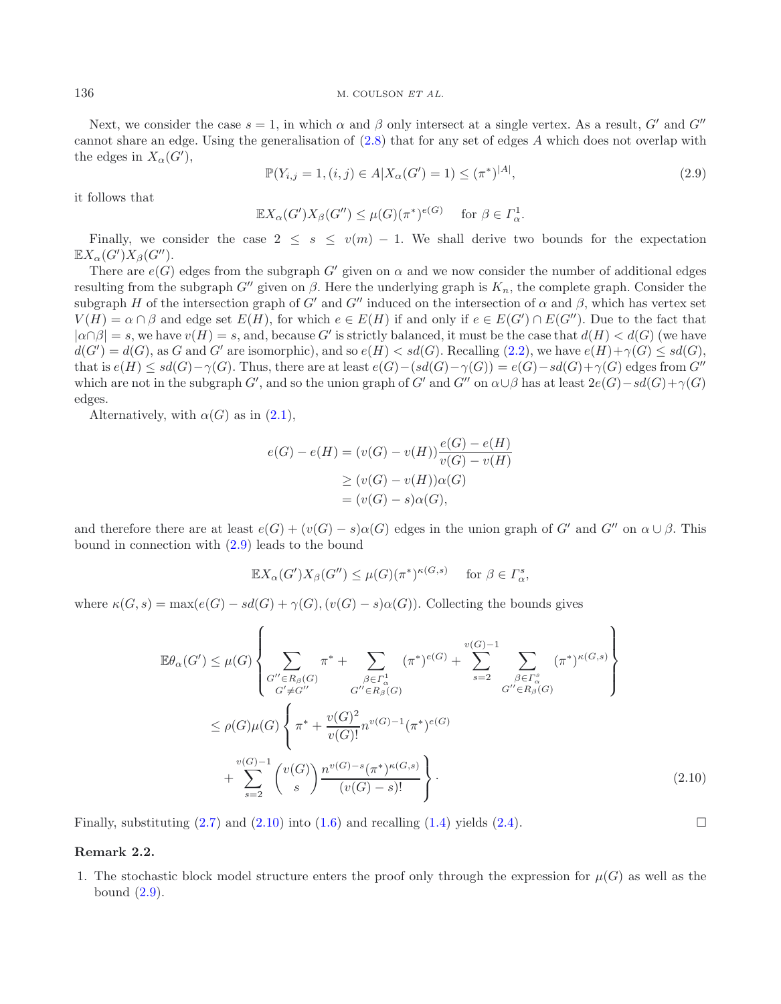#### <span id="page-5-0"></span>136 M. COULSON *ET AL.*

Next, we consider the case  $s = 1$ , in which  $\alpha$  and  $\beta$  only intersect at a single vertex. As a result, G' and G'' cannot share an edge. Using the generalisation of [\(2.8\)](#page-4-1) that for any set of edges A which does not overlap with the edges in  $X_{\alpha}(G')$ ,

$$
\mathbb{P}(Y_{i,j} = 1, (i,j) \in A | X_{\alpha}(G') = 1) \le (\pi^*)^{|A|},\tag{2.9}
$$

it follows that

$$
\mathbb{E} X_{\alpha}(G')X_{\beta}(G'') \leq \mu(G)(\pi^*)^{e(G)} \quad \text{ for } \beta \in \Gamma_{\alpha}^1.
$$

Finally, we consider the case  $2 \leq s \leq v(m) - 1$ . We shall derive two bounds for the expectation  $\mathbb{E} X_\alpha(G') X_\beta(G'').$ 

There are  $e(G)$  edges from the subgraph G' given on  $\alpha$  and we now consider the number of additional edges resulting from the subgraph  $G''$  given on  $\beta$ . Here the underlying graph is  $K_n$ , the complete graph. Consider the subgraph H of the intersection graph of G' and G'' induced on the intersection of  $\alpha$  and  $\beta$ , which has vertex set  $V(H) = \alpha \cap \beta$  and edge set  $E(H)$ , for which  $e \in E(H)$  if and only if  $e \in E(G') \cap E(G'')$ . Due to the fact that  $|\alpha \cap \beta| = s$ , we have  $v(H) = s$ , and, because G' is strictly balanced, it must be the case that  $d(H) < d(G)$  (we have  $d(G') = d(G)$ , as G and G' are isomorphic), and so  $e(H) < sd(G)$ . Recalling [\(2.2\)](#page-3-3), we have  $e(H) + \gamma(G) \le sd(G)$ , that is  $e(H) \le sd(G) - \gamma(G)$ . Thus, there are at least  $e(G) - (sd(G) - \gamma(G)) = e(G) - sd(G) + \gamma(G)$  edges from  $G''$ which are not in the subgraph G', and so the union graph of G' and G" on  $\alpha \cup \beta$  has at least  $2e(G) - sd(G) + \gamma(G)$ edges.

Alternatively, with  $\alpha(G)$  as in  $(2.1)$ ,

$$
e(G) - e(H) = (v(G) - v(H))\frac{e(G) - e(H)}{v(G) - v(H)}
$$

$$
\geq (v(G) - v(H))\alpha(G)
$$

$$
= (v(G) - s)\alpha(G),
$$

and therefore there are at least  $e(G) + (v(G) - s)\alpha(G)$  edges in the union graph of G' and G'' on  $\alpha \cup \beta$ . This bound in connection with [\(2.9\)](#page-5-0) leads to the bound

$$
\mathbb{E}X_{\alpha}(G')X_{\beta}(G'') \leq \mu(G)(\pi^*)^{\kappa(G,s)} \quad \text{ for } \beta \in \Gamma_{\alpha}^s,
$$

where  $\kappa(G, s) = \max(e(G) - sd(G) + \gamma(G), (v(G) - s)\alpha(G))$ . Collecting the bounds gives

$$
\mathbb{E}\theta_{\alpha}(G') \leq \mu(G) \left\{ \sum_{G'' \in R_{\beta}(G)} \pi^* + \sum_{\beta \in \Gamma_{\alpha}^1} (\pi^*)^{e(G)} + \sum_{s=2}^{v(G)-1} \sum_{\beta \in \Gamma_{\alpha}^s} (\pi^*)^{\kappa(G,s)} \right\}
$$
  
\n
$$
\leq \rho(G)\mu(G) \left\{ \pi^* + \frac{v(G)^2}{v(G)!} n^{v(G)-1} (\pi^*)^{e(G)} + \sum_{s=2}^{v(G)-1} \frac{v(G)^2}{v(G)} n^{v(G)-1} (\pi^*)^{e(G)} \right\}
$$
  
\n
$$
+ \sum_{s=2}^{v(G)-1} {v(G) \choose s} \frac{n^{v(G)-s} (\pi^*)^{\kappa(G,s)}}{(v(G)-s)!} \right\}.
$$
 (2.10)

Finally, substituting  $(2.7)$  and  $(2.10)$  into  $(1.6)$  and recalling  $(1.4)$  yields  $(2.4)$ .

### <span id="page-5-1"></span> $\Box$

#### **Remark 2.2.**

1. The stochastic block model structure enters the proof only through the expression for  $\mu(G)$  as well as the bound  $(2.9)$ .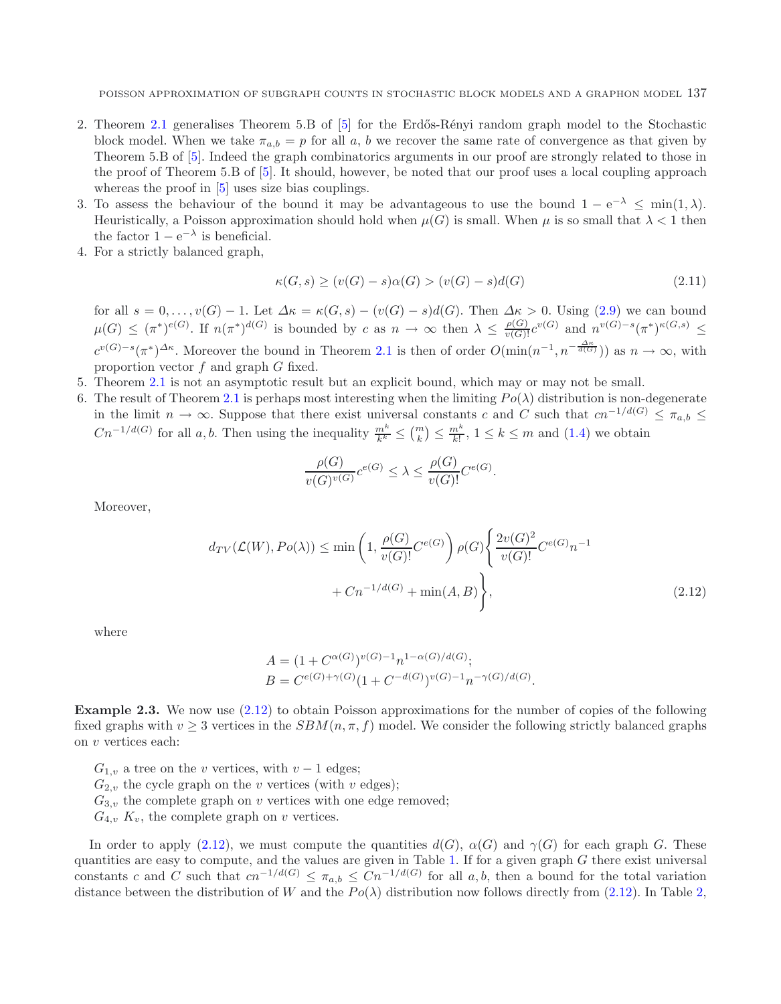- 2. Theorem [2.1](#page-3-1) generalises Theorem 5.B of [\[5](#page-11-15)] for the Erdős-Rényi random graph model to the Stochastic block model. When we take  $\pi_{a,b} = p$  for all a, b we recover the same rate of convergence as that given by Theorem 5.B of [\[5\]](#page-11-15). Indeed the graph combinatorics arguments in our proof are strongly related to those in the proof of Theorem 5.B of [\[5](#page-11-15)]. It should, however, be noted that our proof uses a local coupling approach whereas the proof in  $[5]$  $[5]$  uses size bias couplings.
- 3. To assess the behaviour of the bound it may be advantageous to use the bound  $1 e^{-\lambda} < \min(1, \lambda)$ . Heuristically, a Poisson approximation should hold when  $\mu(G)$  is small. When  $\mu$  is so small that  $\lambda < 1$  then the factor  $1 - e^{-\lambda}$  is beneficial.
- 4. For a strictly balanced graph,

$$
\kappa(G, s) \ge (v(G) - s)\alpha(G) > (v(G) - s)d(G)
$$
\n
$$
(2.11)
$$

for all  $s = 0, \ldots, v(G) - 1$ . Let  $\Delta \kappa = \kappa(G, s) - (v(G) - s)d(G)$ . Then  $\Delta \kappa > 0$ . Using [\(2.9\)](#page-5-0) we can bound  $\mu(G) \leq (\pi^*)^{e(G)}$ . If  $n(\pi^*)^{d(G)}$  is bounded by c as  $n \to \infty$  then  $\lambda \leq \frac{\rho(G)}{\nu(G)!}c^{\nu(G)}$  and  $n^{\nu(G)-s}(\pi^*)^{\kappa(G,s)} \leq$  $c^{v(G)-s}(\pi^*)^{\Delta \kappa}$ . Moreover the bound in Theorem [2.1](#page-3-1) is then of order  $O(\min(n^{-1}, n^{-\frac{\Delta \kappa}{d(G)}}))$  as  $n \to \infty$ , with proportion vector f and graph G fixed.

- 5. Theorem [2.1](#page-3-1) is not an asymptotic result but an explicit bound, which may or may not be small.
- 6. The result of Theorem [2.1](#page-3-1) is perhaps most interesting when the limiting  $Po(\lambda)$  distribution is non-degenerate in the limit  $n \to \infty$ . Suppose that there exist universal constants c and C such that  $cn^{-1/d(G)} \leq \pi_{a,b} \leq$  $Cn^{-1/d(G)}$  for all a, b. Then using the inequality  $\frac{m^k}{k^k} \leq {m \choose k} \leq \frac{m^k}{k!}$ ,  $1 \leq k \leq m$  and  $(1.4)$  we obtain

<span id="page-6-0"></span>
$$
\frac{\rho(G)}{v(G)^{v(G)}}c^{e(G)} \leq \lambda \leq \frac{\rho(G)}{v(G)!}C^{e(G)}.
$$

Moreover,

$$
d_{TV}(\mathcal{L}(W), Po(\lambda)) \le \min\left(1, \frac{\rho(G)}{v(G)} C^{e(G)}\right) \rho(G) \left\{\frac{2v(G)^2}{v(G)!} C^{e(G)} n^{-1} + C n^{-1/d(G)} + \min(A, B)\right\},\tag{2.12}
$$

.

where

$$
A = (1 + C^{\alpha(G)})^{\nu(G) - 1} n^{1 - \alpha(G)/d(G)};
$$
  
\n
$$
B = C^{e(G) + \gamma(G)} (1 + C^{-d(G)})^{\nu(G) - 1} n^{-\gamma(G)/d(G)}
$$

**Example 2.3.** We now use  $(2.12)$  to obtain Poisson approximations for the number of copies of the following fixed graphs with  $v \geq 3$  vertices in the  $SBM(n, \pi, f)$  model. We consider the following strictly balanced graphs on v vertices each:

- $G_{1,v}$  a tree on the v vertices, with  $v-1$  edges;
- $G_{2,v}$  the cycle graph on the v vertices (with v edges);
- $G_{3,v}$  the complete graph on v vertices with one edge removed;
- $G_{4,v}$   $K_v$ , the complete graph on v vertices.

In order to apply [\(2.12\)](#page-6-0), we must compute the quantities  $d(G)$ ,  $\alpha(G)$  and  $\gamma(G)$  for each graph G. These quantities are easy to compute, and the values are given in Table [1.](#page-7-0) If for a given graph  $G$  there exist universal constants c and C such that  $cn^{-1/d(G)} \leq \pi_{a,b} \leq Cn^{-1/d(G)}$  for all a, b, then a bound for the total variation distance between the distribution of W and the  $Po(\lambda)$  distribution now follows directly from [\(2.12\)](#page-6-0). In Table [2,](#page-7-1)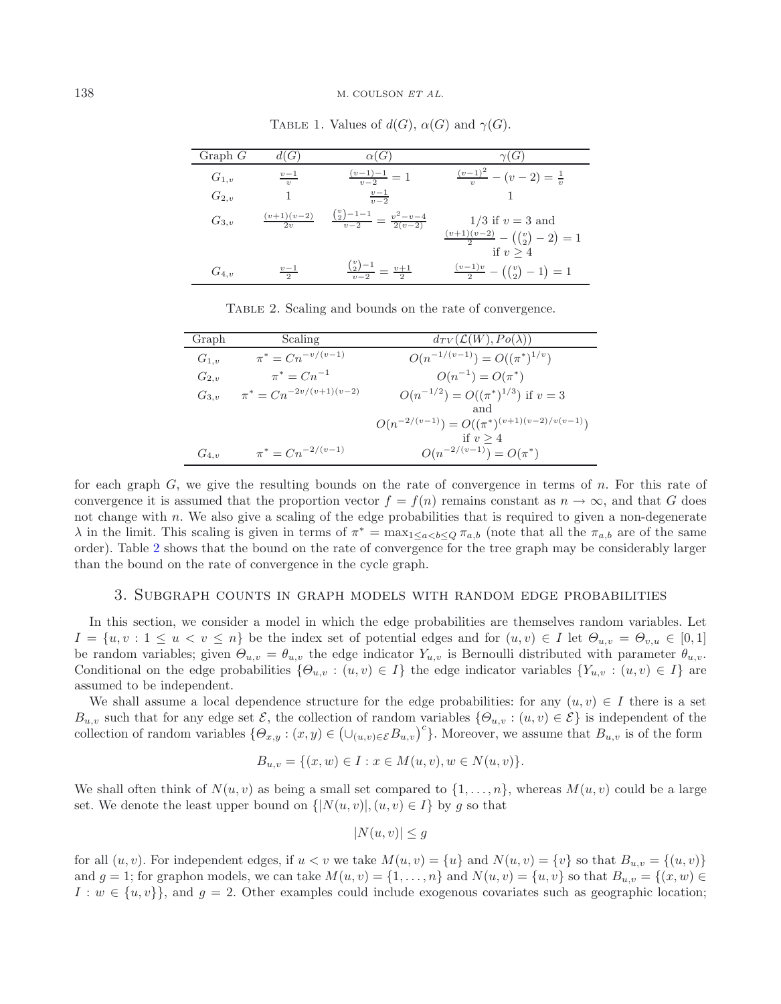<span id="page-7-1"></span>

| Graph $G$ | (G)                                       | $\alpha(G)$                                             | $\gamma(G)$                                                                            |
|-----------|-------------------------------------------|---------------------------------------------------------|----------------------------------------------------------------------------------------|
| $G_{1,v}$ | $v-1$<br>$\overline{v}$                   | $\frac{(v-1)-1}{v-2}=1$                                 | $\frac{(v-1)^2}{v}$<br>$(v-2)=\frac{1}{v}$                                             |
| $G_{2,v}$ |                                           | $\frac{v-1}{v-2}$                                       |                                                                                        |
| $G_{3,v}$ | $\frac{(v+1)(v-2)}{2}$<br>2 <sub>21</sub> | $\frac{\binom{v}{2}-1-1}{v-2} = \frac{v^2-v-4}{2(v-2)}$ | $1/3$ if $v = 3$ and                                                                   |
|           |                                           |                                                         | $\frac{(v+1)(v-2)}{2} - ((\begin{pmatrix} v \\ 2 \end{pmatrix} - 2) = 1$<br>if $v > 4$ |
| $G_{4,v}$ | $v-1$                                     | $\frac{\binom{v}{2}-1}{v-2} = \frac{v+1}{2}$            | $\frac{(v-1)v}{2} - ((\frac{v}{2}) - 1) = 1$                                           |

<span id="page-7-0"></span>TABLE 1. Values of  $d(G)$ ,  $\alpha(G)$  and  $\gamma(G)$ .

Table 2. Scaling and bounds on the rate of convergence.

| Graph     | Scaling                       | $d_{TV}(\mathcal{L}(W), Po(\lambda))$              |
|-----------|-------------------------------|----------------------------------------------------|
| $G_{1,v}$ | $\pi^* = C n^{-v/(v-1)}$      | $O(n^{-1/(v-1)}) = O((\pi^*)^{1/v})$               |
| $G_{2,v}$ | $\pi^* = C n^{-1}$            | $O(n^{-1}) = O(\pi^*)$                             |
| $G_{3,v}$ | $\pi^* = Cn^{-2v/(v+1)(v-2)}$ | $O(n^{-1/2}) = O((\pi^*)^{1/3})$ if $v = 3$        |
|           |                               | and                                                |
|           |                               | $O(n^{-2/(v-1)}) = O((\pi^*)^{(v+1)(v-2)/v(v-1)})$ |
|           |                               | if $v > 4$                                         |
| $G_{4,v}$ | $\pi^* = C n^{-2/(v-1)}$      | $O(n^{-2/(v-1)}) = O(\pi^*)$                       |

for each graph  $G$ , we give the resulting bounds on the rate of convergence in terms of n. For this rate of convergence it is assumed that the proportion vector  $f = f(n)$  remains constant as  $n \to \infty$ , and that G does not change with n. We also give a scaling of the edge probabilities that is required to given a non-degenerate λ in the limit. This scaling is given in terms of  $\pi^* = \max_{1 \leq a < b < Q} \pi_{a,b}$  (note that all the  $\pi_{a,b}$  are of the same order). Table [2](#page-7-1) shows that the bound on the rate of convergence for the tree graph may be considerably larger than the bound on the rate of convergence in the cycle graph.

#### 3. Subgraph counts in graph models with random edge probabilities

In this section, we consider a model in which the edge probabilities are themselves random variables. Let  $I = \{u, v : 1 \le u < v \le n\}$  be the index set of potential edges and for  $(u, v) \in I$  let  $\Theta_{u,v} = \Theta_{v,u} \in [0,1]$ be random variables; given  $\Theta_{u,v} = \theta_{u,v}$  the edge indicator  $Y_{u,v}$  is Bernoulli distributed with parameter  $\theta_{u,v}$ . Conditional on the edge probabilities  $\{\Theta_{u,v} : (u,v) \in I\}$  the edge indicator variables  $\{Y_{u,v} : (u,v) \in I\}$  are assumed to be independent.

We shall assume a local dependence structure for the edge probabilities: for any  $(u, v) \in I$  there is a set  $B_{u,v}$  such that for any edge set  $\mathcal{E}$ , the collection of random variables  $\{\Theta_{u,v} : (u,v) \in \mathcal{E}\}\$  is independent of the collection of random variables  $\{\Theta_{x,y} : (x,y) \in (\bigcup_{(u,v) \in \mathcal{E}} B_{u,v})^c\}$ . Moreover, we assume that  $B_{u,v}$  is of the form

$$
B_{u,v} = \{(x,w) \in I : x \in M(u,v), w \in N(u,v)\}.
$$

We shall often think of  $N(u, v)$  as being a small set compared to  $\{1, \ldots, n\}$ , whereas  $M(u, v)$  could be a large set. We denote the least upper bound on  $\{[N(u, v)], (u, v) \in I\}$  by g so that

$$
|N(u, v)| \le g
$$

for all  $(u, v)$ . For independent edges, if  $u < v$  we take  $M(u, v) = \{u\}$  and  $N(u, v) = \{v\}$  so that  $B_{u, v} = \{(u, v)\}$ and  $g = 1$ ; for graphon models, we can take  $M(u, v) = \{1, \ldots, n\}$  and  $N(u, v) = \{u, v\}$  so that  $B_{u,v} = \{(x, w) \in$  $I: w \in \{u, v\}$ , and  $g = 2$ . Other examples could include exogenous covariates such as geographic location;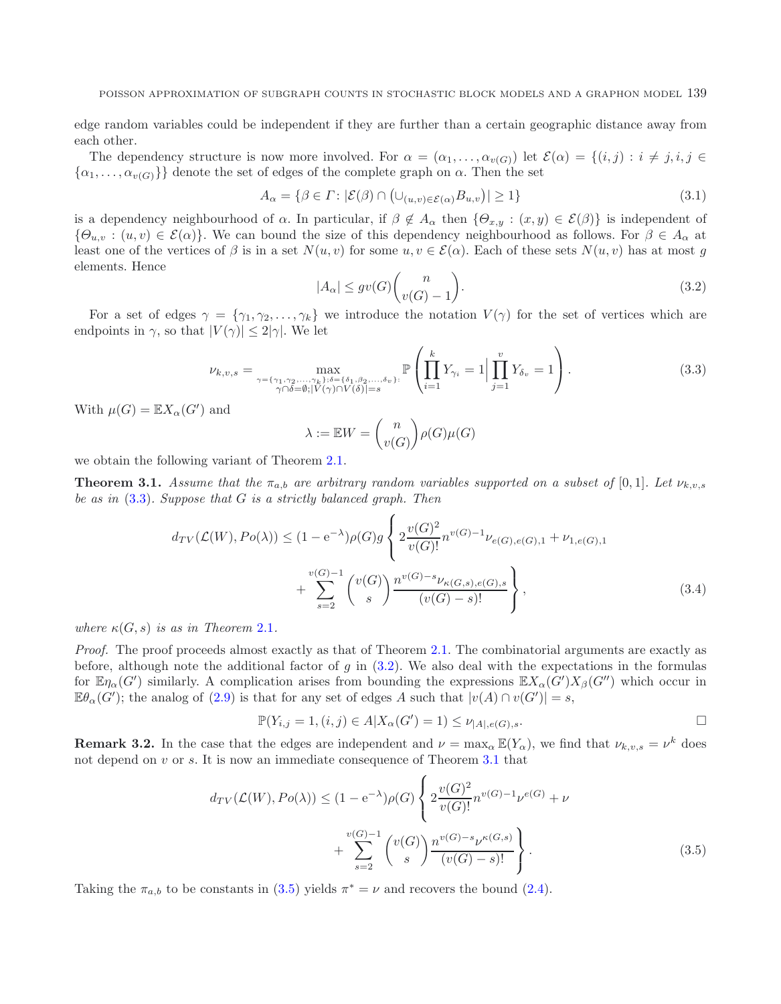<span id="page-8-2"></span>edge random variables could be independent if they are further than a certain geographic distance away from each other.

The dependency structure is now more involved. For  $\alpha = (\alpha_1, \ldots, \alpha_{\nu(G)})$  let  $\mathcal{E}(\alpha) = \{(i,j) : i \neq j, i, j \in \mathbb{N}\}$  $\{\alpha_1,\ldots,\alpha_{v(G)}\}\}$  denote the set of edges of the complete graph on  $\alpha$ . Then the set

<span id="page-8-1"></span>
$$
A_{\alpha} = \{ \beta \in \Gamma \colon |\mathcal{E}(\beta) \cap \left( \cup_{(u,v) \in \mathcal{E}(\alpha)} B_{u,v} \right)| \ge 1 \}
$$
\n(3.1)

is a dependency neighbourhood of  $\alpha$ . In particular, if  $\beta \notin A_{\alpha}$  then  $\{\Theta_{x,y} : (x,y) \in \mathcal{E}(\beta)\}\$ is independent of  ${\{\Theta_{u,v} : (u,v) \in \mathcal{E}(\alpha)\}}$ . We can bound the size of this dependency neighbourhood as follows. For  $\beta \in A_\alpha$  at least one of the vertices of  $\beta$  is in a set  $N(u, v)$  for some  $u, v \in \mathcal{E}(\alpha)$ . Each of these sets  $N(u, v)$  has at most g elements. Hence

$$
|A_{\alpha}| \le gv(G)\binom{n}{v(G)-1}.\tag{3.2}
$$

For a set of edges  $\gamma = \{\gamma_1, \gamma_2, \ldots, \gamma_k\}$  we introduce the notation  $V(\gamma)$  for the set of vertices which are endpoints in  $\gamma$ , so that  $|V(\gamma)| \leq 2|\gamma|$ . We let

$$
\nu_{k,v,s} = \max_{\substack{\gamma = \{\gamma_1, \gamma_2, \dots, \gamma_k\}; \delta = \{\delta_1, \beta_2, \dots, \delta_v\}:\\ \gamma \cap \delta = \emptyset; |V(\gamma) \cap V(\delta)| = s}} \mathbb{P}\left(\prod_{i=1}^k Y_{\gamma_i} = 1 \Big| \prod_{j=1}^v Y_{\delta_v} = 1\right).
$$
\n(3.3)

With  $\mu(G) = \mathbb{E} X_{\alpha}(G')$  and

<span id="page-8-4"></span>
$$
\lambda := \mathbb{E}W = \binom{n}{v(G)} \rho(G)\mu(G)
$$

<span id="page-8-0"></span>we obtain the following variant of Theorem [2.1.](#page-3-1)

**Theorem 3.1.** *Assume that the*  $\pi_{a,b}$  *are arbitrary random variables supported on a subset of* [0,1]*. Let*  $\nu_{k,v,s}$ *be as in* [\(3.3\)](#page-8-1)*. Suppose that* G *is a strictly balanced graph. Then*

$$
d_{TV}(\mathcal{L}(W), Po(\lambda)) \le (1 - e^{-\lambda})\rho(G)g\left\{ 2\frac{v(G)^2}{v(G)!}n^{v(G)-1}\nu_{e(G),e(G),1} + \nu_{1,e(G),1} + \sum_{s=2}^{v(G)-1} \binom{v(G)}{s} \frac{n^{v(G)-s}\nu_{\kappa(G,s),e(G),s}}{(v(G)-s)!} \right\},
$$
\n(3.4)

*where*  $\kappa(G, s)$  *is as in Theorem* [2.1](#page-3-1)*.* 

*Proof.* The proof proceeds almost exactly as that of Theorem [2.1.](#page-3-1) The combinatorial arguments are exactly as before, although note the additional factor of  $g$  in [\(3.2\)](#page-8-2). We also deal with the expectations in the formulas for  $\mathbb{E}\eta_\alpha(G')$  similarly. A complication arises from bounding the expressions  $\mathbb{E}X_\alpha(G')X_\beta(G'')$  which occur in  $\mathbb{E}\theta_{\alpha}(G')$ ; the analog of [\(2.9\)](#page-5-0) is that for any set of edges A such that  $|v(A) \cap v(G')| = s$ ,

<span id="page-8-3"></span>
$$
\mathbb{P}(Y_{i,j} = 1, (i,j) \in A | X_{\alpha}(G') = 1) \leq \nu_{|A|, e(G), s}.
$$

**Remark 3.2.** In the case that the edges are independent and  $\nu = \max_{\alpha} \mathbb{E}(Y_{\alpha})$ , we find that  $\nu_{k,v,s} = \nu^k$  does not depend on v or s. It is now an immediate consequence of Theorem [3.1](#page-8-0) that

$$
d_{TV}(\mathcal{L}(W), Po(\lambda)) \le (1 - e^{-\lambda})\rho(G) \left\{ 2\frac{v(G)^2}{v(G)!} n^{v(G)-1} \nu^{e(G)} + \nu + \sum_{s=2}^{v(G)-1} {v(G) \choose s} \frac{n^{v(G)-s} \nu^{\kappa(G,s)}}{(v(G)-s)!} \right\}.
$$
\n(3.5)

Taking the  $\pi_{a,b}$  to be constants in [\(3.5\)](#page-8-3) yields  $\pi^* = \nu$  and recovers the bound [\(2.4\)](#page-4-3).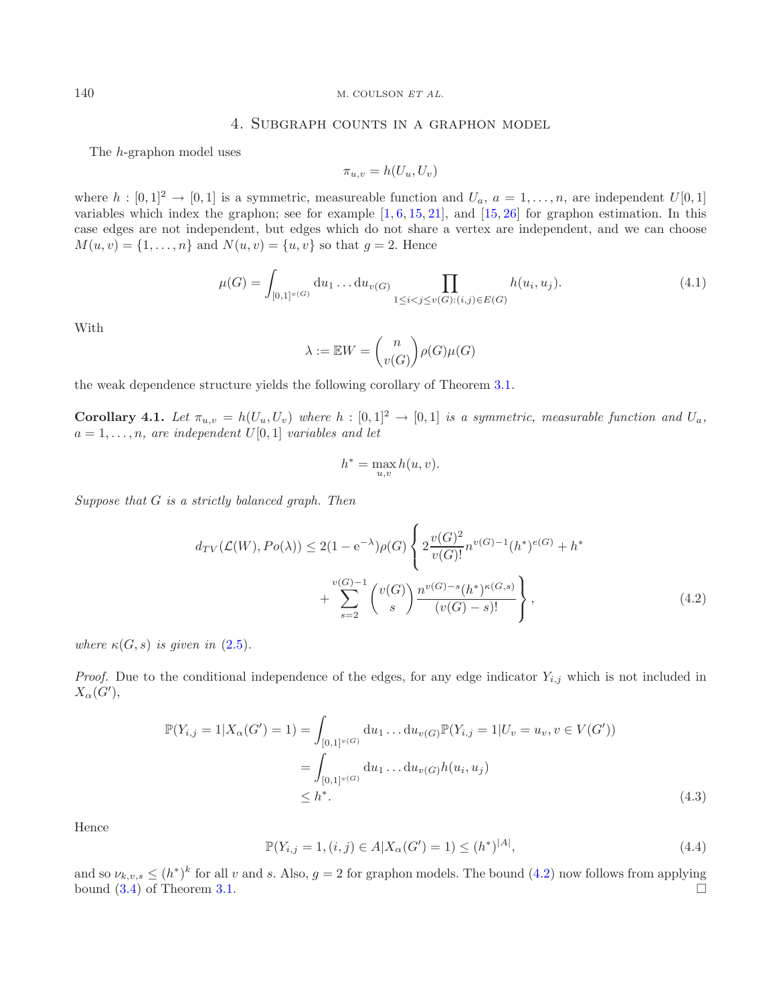### 140 M. COULSON *ET AL.*

## 4. Subgraph counts in a graphon model

The h-graphon model uses

<span id="page-9-4"></span>
$$
\pi_{u,v} = h(U_u, U_v)
$$

where  $h : [0,1]^2 \to [0,1]$  is a symmetric, measureable function and  $U_a$ ,  $a = 1,\ldots,n$ , are independent  $U[0,1]$ variables which index the graphon; see for example  $[1, 6, 15, 21]$  $[1, 6, 15, 21]$  $[1, 6, 15, 21]$  $[1, 6, 15, 21]$  $[1, 6, 15, 21]$  $[1, 6, 15, 21]$  $[1, 6, 15, 21]$ , and  $[15, 26]$  $[15, 26]$  $[15, 26]$  for graphon estimation. In this case edges are not independent, but edges which do not share a vertex are independent, and we can choose  $M(u, v) = \{1, ..., n\}$  and  $N(u, v) = \{u, v\}$  so that  $g = 2$ . Hence

$$
\mu(G) = \int_{[0,1]^{v(G)}} du_1 \dots du_{v(G)} \prod_{1 \le i < j \le v(G): (i,j) \in E(G)} h(u_i, u_j). \tag{4.1}
$$

With

$$
\lambda := \mathbb{E}W = \binom{n}{v(G)} \rho(G)\mu(G)
$$

<span id="page-9-0"></span>the weak dependence structure yields the following corollary of Theorem [3.1.](#page-8-0)

**Corollary 4.1.** Let  $\pi_{u,v} = h(U_u, U_v)$  where  $h : [0,1]^2 \to [0,1]$  is a symmetric, measurable function and  $U_a$ ,  $a = 1, \ldots, n$ , are independent  $U[0, 1]$  *variables and let* 

<span id="page-9-2"></span><span id="page-9-1"></span>
$$
h^* = \max_{u,v} h(u,v).
$$

*Suppose that* G *is a strictly balanced graph. Then*

$$
d_{TV}(\mathcal{L}(W), Po(\lambda)) \le 2(1 - e^{-\lambda})\rho(G) \left\{ 2\frac{v(G)^2}{v(G)!} n^{v(G)-1}(h^*)^{e(G)} + h^* \right. \\ \left. + \sum_{s=2}^{v(G)-1} \binom{v(G)}{s} \frac{n^{v(G)-s}(h^*)^{\kappa(G,s)}}{(v(G)-s)!} \right\},
$$
\n(4.2)

<span id="page-9-3"></span>*where*  $\kappa(G, s)$  *is given in*  $(2.5)$ *.* 

*Proof.* Due to the conditional independence of the edges, for any edge indicator  $Y_{i,j}$  which is not included in  $X_\alpha(G'),$ 

$$
\mathbb{P}(Y_{i,j} = 1 | X_{\alpha}(G') = 1) = \int_{[0,1]^{v(G)}} du_1 \dots du_{v(G)} \mathbb{P}(Y_{i,j} = 1 | U_v = u_v, v \in V(G'))
$$
  
= 
$$
\int_{[0,1]^{v(G)}} du_1 \dots du_{v(G)} h(u_i, u_j)
$$
  
\$\leq h^\*. \tag{4.3}

Hence

$$
\mathbb{P}(Y_{i,j} = 1, (i,j) \in A | X_{\alpha}(G') = 1) \le (h^*)^{|A|},\tag{4.4}
$$

and so  $\nu_{k,v,s} \leq (h^*)^k$  for all v and s. Also,  $g = 2$  for graphon models. The bound [\(4.2\)](#page-9-1) now follows from applying bound  $(3.4)$  of Theorem [3.1.](#page-8-0)  $\Box$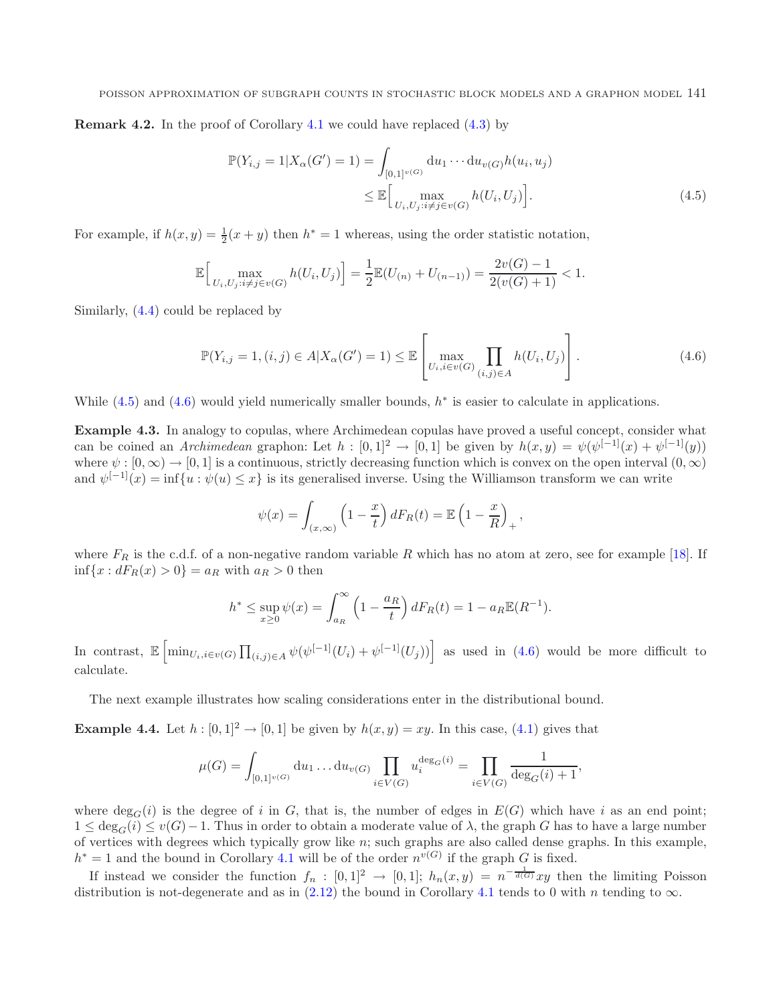**Remark 4.2.** In the proof of Corollary [4.1](#page-9-0) we could have replaced  $(4.3)$  by

<span id="page-10-1"></span><span id="page-10-0"></span>
$$
\mathbb{P}(Y_{i,j} = 1 | X_{\alpha}(G') = 1) = \int_{[0,1]^{v(G)}} du_1 \cdots du_{v(G)} h(u_i, u_j)
$$
  
 
$$
\leq \mathbb{E} \Big[ \max_{U_i, U_j : i \neq j \in v(G)} h(U_i, U_j) \Big].
$$
 (4.5)

For example, if  $h(x, y) = \frac{1}{2}(x + y)$  then  $h^* = 1$  whereas, using the order statistic notation,

$$
\mathbb{E}\Big[\max_{U_i, U_j: i \neq j \in v(G)} h(U_i, U_j)\Big] = \frac{1}{2} \mathbb{E}(U_{(n)} + U_{(n-1)}) = \frac{2v(G) - 1}{2(v(G) + 1)} < 1.
$$

Similarly, [\(4.4\)](#page-9-3) could be replaced by

$$
\mathbb{P}(Y_{i,j} = 1, (i,j) \in A | X_{\alpha}(G') = 1) \leq \mathbb{E} \left[ \max_{U_i, i \in v(G)} \prod_{(i,j) \in A} h(U_i, U_j) \right].
$$
 (4.6)

While  $(4.5)$  and  $(4.6)$  would yield numerically smaller bounds,  $h^*$  is easier to calculate in applications.

**Example 4.3.** In analogy to copulas, where Archimedean copulas have proved a useful concept, consider what can be coined an *Archimedean* graphon: Let  $h : [0,1]^2 \to [0,1]$  be given by  $h(x,y) = \psi(\psi^{[-1]}(x) + \psi^{[-1]}(y))$ where  $\psi : [0, \infty) \to [0, 1]$  is a continuous, strictly decreasing function which is convex on the open interval  $(0, \infty)$ and  $\psi^{[-1]}(x) = \inf \{u : \psi(u) \leq x\}$  is its generalised inverse. Using the Williamson transform we can write

$$
\psi(x) = \int_{(x,\infty)} \left(1 - \frac{x}{t}\right) dF_R(t) = \mathbb{E}\left(1 - \frac{x}{R}\right)_+,
$$

where  $F_R$  is the c.d.f. of a non-negative random variable R which has no atom at zero, see for example [\[18](#page-11-25)]. If  $\inf\{x: dF_R(x) > 0\} = a_R$  with  $a_R > 0$  then

$$
h^* \le \sup_{x \ge 0} \psi(x) = \int_{a_R}^{\infty} \left(1 - \frac{a_R}{t}\right) dF_R(t) = 1 - a_R \mathbb{E}(R^{-1}).
$$

In contrast,  $\mathbb{E}\left[\min_{U_i,i\in v(G)}\prod_{(i,j)\in A}\psi(\psi^{[-1]}(U_i)+\psi^{[-1]}(U_j))\right]$  as used in [\(4.6\)](#page-10-1) would be more difficult to calculate.

The next example illustrates how scaling considerations enter in the distributional bound.

**Example 4.4.** Let  $h : [0,1]^2 \rightarrow [0,1]$  be given by  $h(x,y) = xy$ . In this case, [\(4.1\)](#page-9-4) gives that

$$
\mu(G) = \int_{[0,1]^{v(G)}} du_1 \dots du_{v(G)} \prod_{i \in V(G)} u_i^{\deg_G(i)} = \prod_{i \in V(G)} \frac{1}{\deg_G(i) + 1},
$$

where  $deg_G(i)$  is the degree of i in G, that is, the number of edges in  $E(G)$  which have i as an end point;  $1 \leq \deg_G(i) \leq v(G)-1$ . Thus in order to obtain a moderate value of  $\lambda$ , the graph G has to have a large number of vertices with degrees which typically grow like  $n$ ; such graphs are also called dense graphs. In this example,  $h^* = 1$  and the bound in Corollary [4.1](#page-9-0) will be of the order  $n^{v(G)}$  if the graph G is fixed.

If instead we consider the function  $f_n : [0,1]^2 \to [0,1]$ ;  $h_n(x,y) = n^{-\frac{1}{d(G)}}xy$  then the limiting Poisson distribution is not-degenerate and as in [\(2.12\)](#page-6-0) the bound in Corollary [4.1](#page-9-0) tends to 0 with n tending to  $\infty$ .